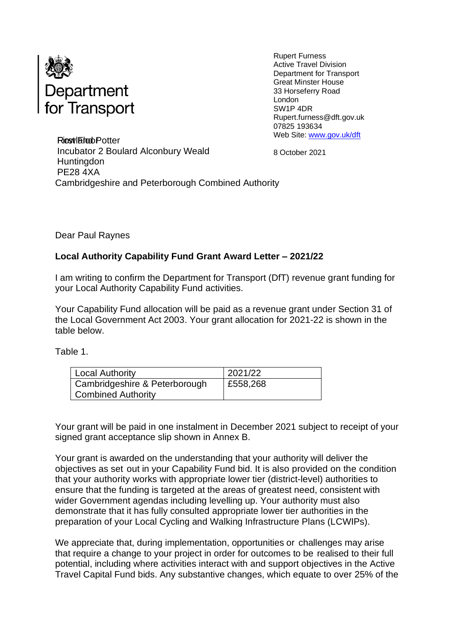

Rupert Furness Active Travel Division Department for Transport Great Minster House 33 Horseferry Road London SW1P 4DR Rupert.furness@dft.gov.uk 07825 193634 Web Site: www.gov.uk/dft

Cambridgeshire and Peterborough Combined Authority Ringwland Potter Incubator 2 Boulard Alconbury Weald **Huntingdon** PE28 4XA

8 October 2021

Dear Paul Raynes

#### **Local Authority Capability Fund Grant Award Letter – 2021/22**

I am writing to confirm the Department for Transport (DfT) revenue grant funding for your Local Authority Capability Fund activities.

Your Capability Fund allocation will be paid as a revenue grant under Section 31 of the Local Government Act 2003. Your grant allocation for 2021-22 is shown in the table below.

Table 1.

| Local Authority               | 2021/22  |
|-------------------------------|----------|
| Cambridgeshire & Peterborough | £558,268 |
| <b>Combined Authority</b>     |          |

Your grant will be paid in one instalment in December 2021 subject to receipt of your signed grant acceptance slip shown in Annex B.

Your grant is awarded on the understanding that your authority will deliver the objectives as set out in your Capability Fund bid. It is also provided on the condition that your authority works with appropriate lower tier (district-level) authorities to ensure that the funding is targeted at the areas of greatest need, consistent with wider Government agendas including levelling up. Your authority must also demonstrate that it has fully consulted appropriate lower tier authorities in the preparation of your Local Cycling and Walking Infrastructure Plans (LCWIPs).

We appreciate that, during implementation, opportunities or challenges may arise that require a change to your project in order for outcomes to be realised to their full potential, including where activities interact with and support objectives in the Active Travel Capital Fund bids. Any substantive changes, which equate to over 25% of the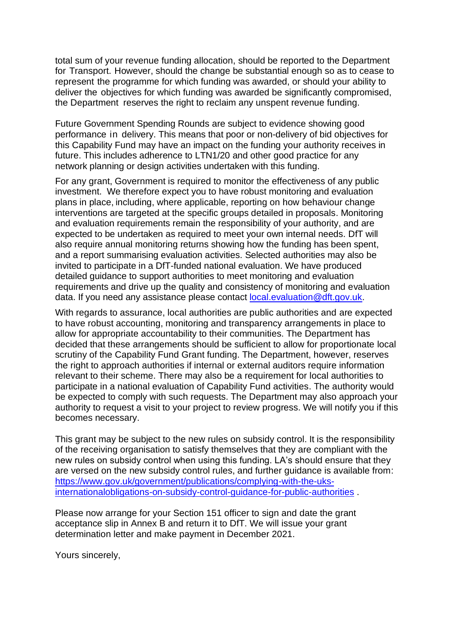total sum of your revenue funding allocation, should be reported to the Department for Transport. However, should the change be substantial enough so as to cease to represent the programme for which funding was awarded, or should your ability to deliver the objectives for which funding was awarded be significantly compromised, the Department reserves the right to reclaim any unspent revenue funding.

Future Government Spending Rounds are subject to evidence showing good performance in delivery. This means that poor or non-delivery of bid objectives for this Capability Fund may have an impact on the funding your authority receives in future. This includes adherence to LTN1/20 and other good practice for any network planning or design activities undertaken with this funding.

For any grant, Government is required to monitor the effectiveness of any public investment. We therefore expect you to have robust monitoring and evaluation plans in place, including, where applicable, reporting on how behaviour change interventions are targeted at the specific groups detailed in proposals. Monitoring and evaluation requirements remain the responsibility of your authority, and are expected to be undertaken as required to meet your own internal needs. DfT will also require annual monitoring returns showing how the funding has been spent, and a report summarising evaluation activities. Selected authorities may also be invited to participate in a DfT-funded national evaluation. We have produced detailed guidance to support authorities to meet monitoring and evaluation requirements and drive up the quality and consistency of monitoring and evaluation data. If you need any assistance please contact local.evaluation@dft.gov.uk.

With regards to assurance, local authorities are public authorities and are expected to have robust accounting, monitoring and transparency arrangements in place to allow for appropriate accountability to their communities. The Department has decided that these arrangements should be sufficient to allow for proportionate local scrutiny of the Capability Fund Grant funding. The Department, however, reserves the right to approach authorities if internal or external auditors require information relevant to their scheme. There may also be a requirement for local authorities to participate in a national evaluation of Capability Fund activities. The authority would be expected to comply with such requests. The Department may also approach your authority to request a visit to your project to review progress. We will notify you if this becomes necessary.

This grant may be subject to the new rules on subsidy control. It is the responsibility of the receiving organisation to satisfy themselves that they are compliant with the new rules on subsidy control when using this funding. LA's should ensure that they are versed on the new subsidy control rules, and further guidance is available from: https://www.gov.uk/government/publications/complying-with-the-uksinternationalobligations-on-subsidy-control-guidance-for-public-authorities .

Please now arrange for your Section 151 officer to sign and date the grant acceptance slip in Annex B and return it to DfT. We will issue your grant determination letter and make payment in December 2021.

Yours sincerely,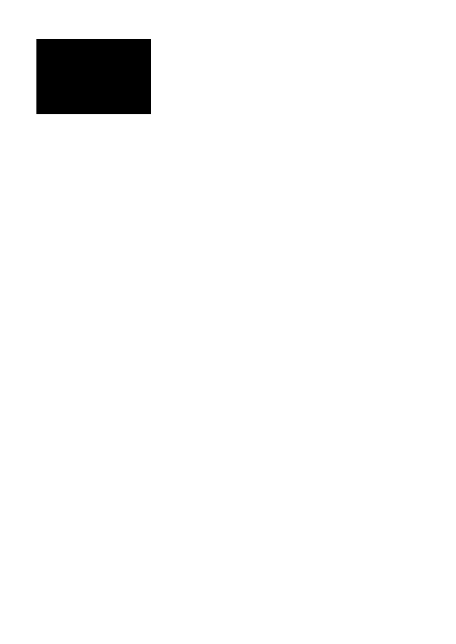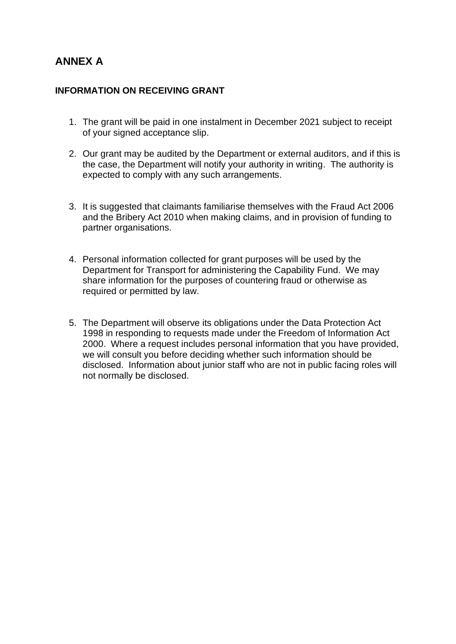# **ANNEX A**

### **INFORMATION ON RECEIVING GRANT**

- 1. The grant will be paid in one instalment in December 2021 subject to receipt of your signed acceptance slip.
- 2. Our grant may be audited by the Department or external auditors, and if this is the case, the Department will notify your authority in writing. The authority is expected to comply with any such arrangements.
- 3. It is suggested that claimants familiarise themselves with the Fraud Act 2006 and the Bribery Act 2010 when making claims, and in provision of funding to partner organisations.
- 4. Personal information collected for grant purposes will be used by the Department for Transport for administering the Capability Fund. We may share information for the purposes of countering fraud or otherwise as required or permitted by law.
- 5. The Department will observe its obligations under the Data Protection Act 1998 in responding to requests made under the Freedom of Information Act 2000. Where a request includes personal information that you have provided, we will consult you before deciding whether such information should be disclosed. Information about junior staff who are not in public facing roles will not normally be disclosed.